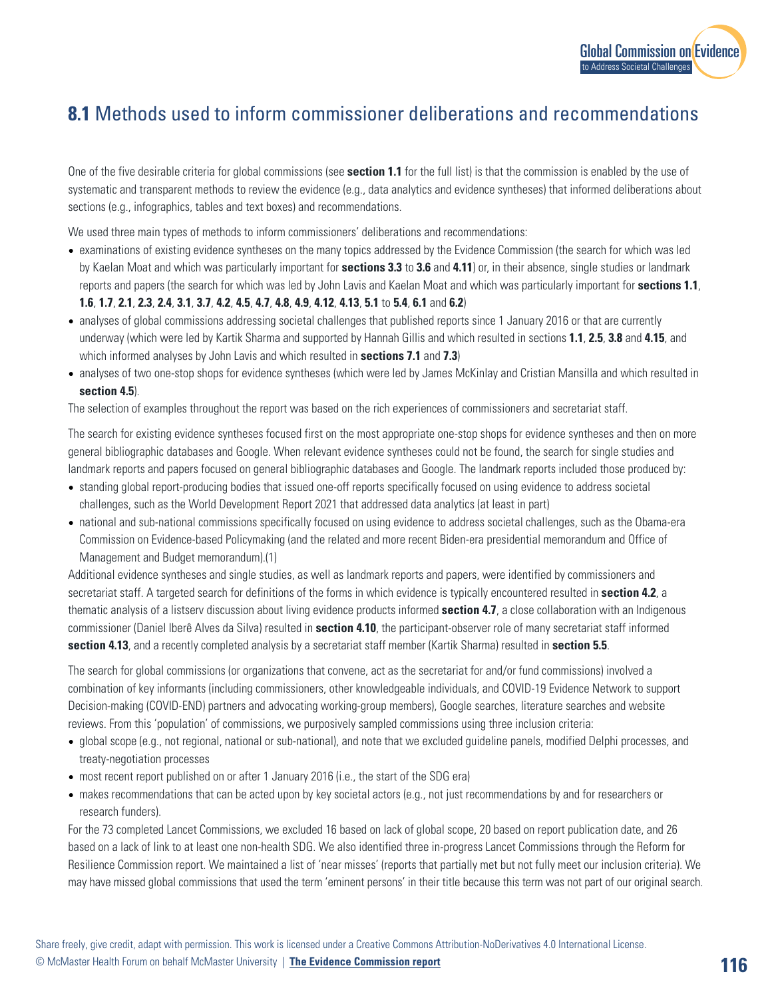

## **8.1** Methods used to inform commissioner deliberations and recommendations

One of the five desirable criteria for global commissions (see **section 1.1** for the full list) is that the commission is enabled by the use of systematic and transparent methods to review the evidence (e.g., data analytics and evidence syntheses) that informed deliberations about sections (e.g., infographics, tables and text boxes) and recommendations.

We used three main types of methods to inform commissioners' deliberations and recommendations:

- examinations of existing evidence syntheses on the many topics addressed by the Evidence Commission (the search for which was led by Kaelan Moat and which was particularly important for **sections 3.3** to **3.6** and **4.11**) or, in their absence, single studies or landmark reports and papers (the search for which was led by John Lavis and Kaelan Moat and which was particularly important for **sections 1.1**, **1.6**, **1.7**, **2.1**, **2.3**, **2.4**, **3.1**, **3.7**, **4.2**, **4.5**, **4.7**, **4.8**, **4.9**, **4.12**, **4.13**, **5.1** to **5.4**, **6.1** and **6.2**)
- analyses of global commissions addressing societal challenges that published reports since 1 January 2016 or that are currently underway (which were led by Kartik Sharma and supported by Hannah Gillis and which resulted in sections **1.1**, **2.5**, **3.8** and **4.15**, and which informed analyses by John Lavis and which resulted in **sections 7.1** and **7.3**)
- analyses of two one-stop shops for evidence syntheses (which were led by James McKinlay and Cristian Mansilla and which resulted in **section 4.5**).

The selection of examples throughout the report was based on the rich experiences of commissioners and secretariat staff.

The search for existing evidence syntheses focused first on the most appropriate one-stop shops for evidence syntheses and then on more general bibliographic databases and Google. When relevant evidence syntheses could not be found, the search for single studies and landmark reports and papers focused on general bibliographic databases and Google. The landmark reports included those produced by:

- standing global report-producing bodies that issued one-off reports specifically focused on using evidence to address societal challenges, such as the World Development Report 2021 that addressed data analytics (at least in part)
- national and sub-national commissions specifically focused on using evidence to address societal challenges, such as the Obama-era Commission on Evidence-based Policymaking (and the related and more recent Biden-era presidential memorandum and Office of Management and Budget memorandum).(1)

Additional evidence syntheses and single studies, as well as landmark reports and papers, were identified by commissioners and secretariat staff. A targeted search for definitions of the forms in which evidence is typically encountered resulted in **section 4.2**, a thematic analysis of a listserv discussion about living evidence products informed **section 4.7**, a close collaboration with an Indigenous commissioner (Daniel Iberê Alves da Silva) resulted in **section 4.10**, the participant-observer role of many secretariat staff informed **section 4.13**, and a recently completed analysis by a secretariat staff member (Kartik Sharma) resulted in **section 5.5**.

The search for global commissions (or organizations that convene, act as the secretariat for and/or fund commissions) involved a combination of key informants (including commissioners, other knowledgeable individuals, and COVID-19 Evidence Network to support Decision-making (COVID-END) partners and advocating working-group members), Google searches, literature searches and website reviews. From this 'population' of commissions, we purposively sampled commissions using three inclusion criteria:

- global scope (e.g., not regional, national or sub-national), and note that we excluded guideline panels, modified Delphi processes, and treaty-negotiation processes
- most recent report published on or after 1 January 2016 (i.e., the start of the SDG era)
- makes recommendations that can be acted upon by key societal actors (e.g., not just recommendations by and for researchers or research funders).

For the 73 completed Lancet Commissions, we excluded 16 based on lack of global scope, 20 based on report publication date, and 26 based on a lack of link to at least one non-health SDG. We also identified three in-progress Lancet Commissions through the Reform for Resilience Commission report. We maintained a list of 'near misses' (reports that partially met but not fully meet our inclusion criteria). We may have missed global commissions that used the term 'eminent persons' in their title because this term was not part of our original search.